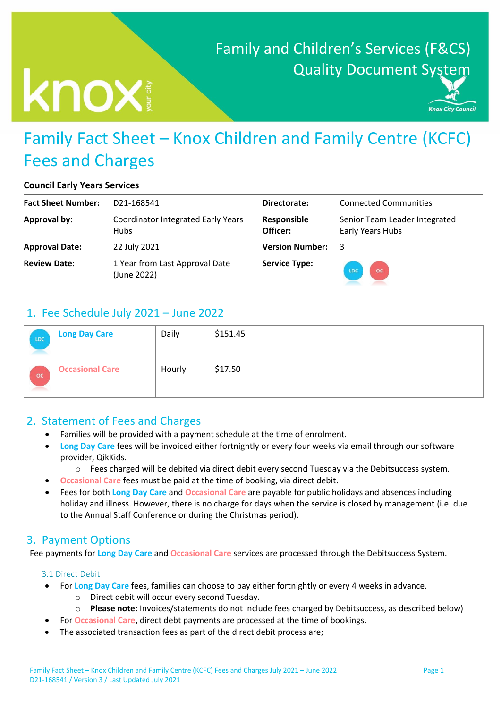# Family and Children's Services (F&CS) Quality Document System

# Knox

Knox City Council

# Family Fact Sheet – Knox Children and Family Centre (KCFC) Fees and Charges

#### **Council Early Years Services**

| <b>Fact Sheet Number:</b> | D21-168541                                               | Directorate:            | <b>Connected Communities</b>                      |
|---------------------------|----------------------------------------------------------|-------------------------|---------------------------------------------------|
| Approval by:              | <b>Coordinator Integrated Early Years</b><br><b>Hubs</b> | Responsible<br>Officer: | Senior Team Leader Integrated<br>Early Years Hubs |
| <b>Approval Date:</b>     | 22 July 2021                                             | <b>Version Number:</b>  | 3                                                 |
| <b>Review Date:</b>       | 1 Year from Last Approval Date<br>(June 2022)            | <b>Service Type:</b>    | $\overline{\mathsf{oc}}$<br>LDC                   |

# 1. Fee Schedule July 2021 – June 2022

| LDC         | <b>Long Day Care</b>   | Daily  | \$151.45 |
|-------------|------------------------|--------|----------|
| $_{\rm oc}$ | <b>Occasional Care</b> | Hourly | \$17.50  |

# 2. Statement of Fees and Charges

- Families will be provided with a payment schedule at the time of enrolment.
- **Long Day Care fees will be invoiced either fortnightly or every four weeks via email through our software** provider, QikKids.
	- o Fees charged will be debited via direct debit every second Tuesday via the Debitsuccess system.
	- **Occasional Care** fees must be paid at the time of booking, via direct debit.
- Fees for both **Long Day Care** and **Occasional Care** are payable for public holidays and absences including holiday and illness. However, there is no charge for days when the service is closed by management (i.e. due to the Annual Staff Conference or during the Christmas period).

# 3. Payment Options

Fee payments for **Long Day Care** and **Occasional Care** services are processed through the Debitsuccess System.

#### 3.1 Direct Debit

- For **Long Day Care** fees, families can choose to pay either fortnightly or every 4 weeks in advance.
	- o Direct debit will occur every second Tuesday.
	- o **Please note:** Invoices/statements do not include fees charged by Debitsuccess, as described below)
- For **Occasional Care,** direct debt payments are processed at the time of bookings.
- The associated transaction fees as part of the direct debit process are;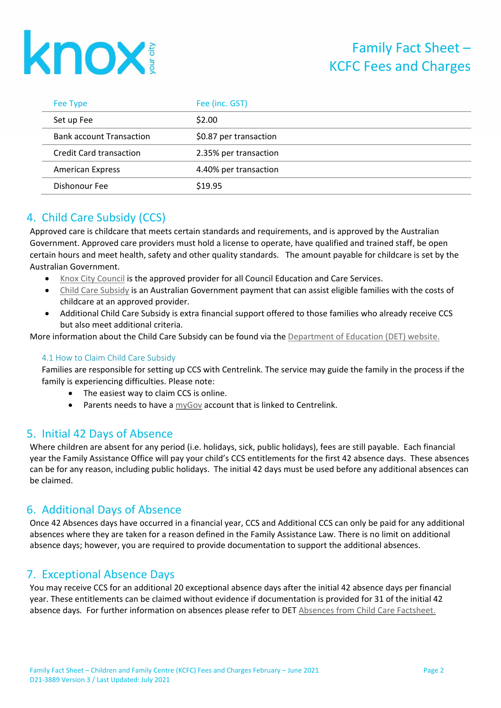

| Fee Type                        | Fee (inc. GST)         |
|---------------------------------|------------------------|
| Set up Fee                      | \$2.00                 |
| <b>Bank account Transaction</b> | \$0.87 per transaction |
| <b>Credit Card transaction</b>  | 2.35% per transaction  |
| <b>American Express</b>         | 4.40% per transaction  |
| Dishonour Fee                   | \$19.95                |

# 4. Child Care Subsidy (CCS)

Approved care is childcare that meets certain standards and requirements, and is approved by the Australian Government. Approved care providers must hold a license to operate, have qualified and trained staff, be open certain hours and meet health, safety and other quality standards. The amount payable for childcare is set by the Australian Government.

- [Knox City Council](http://www.knox.vic.gov.au/page/HomePage.aspx) is the approved provider for all Council Education and Care Services.
- [Child Care Subsidy](https://www.humanservices.gov.au/individuals/services/centrelink/child-care-subsidy) is an Australian Government payment that can assist eligible families with the costs of childcare at an approved provider.
- Additional Child Care Subsidy is extra financial support offered to those families who already receive CCS but also meet additional criteria.

More information about the Child Care Subsidy can be found via the [Department of Education \(DET\)](http://www.education.gov.au/child-care-package-families) website.

#### 4.1 How to Claim Child Care Subsidy

Families are responsible for setting up CCS with Centrelink. The service may guide the family in the process if the family is experiencing difficulties. Please note:

- The easiest way to claim CCS is online.
- **•** Parents needs to have a  $myGov$  account that is linked to Centrelink.

## 5. Initial 42 Days of Absence

Where children are absent for any period (i.e. holidays, sick, public holidays), fees are still payable. Each financial year the Family Assistance Office will pay your child's CCS entitlements for the first 42 absence days. These absences can be for any reason, including public holidays. The initial 42 days must be used before any additional absences can be claimed.

## 6. Additional Days of Absence

Once 42 Absences days have occurred in a financial year, CCS and Additional CCS can only be paid for any additional absences where they are taken for a reason defined in the Family Assistance Law. There is no limit on additional absence days; however, you are required to provide documentation to support the additional absences.

# 7. Exceptional Absence Days

You may receive CCS for an additional 20 exceptional absence days after the initial 42 absence days per financial year. These entitlements can be claimed without evidence if documentation is provided for 31 of the initial 42 absence days*.* For further information on absences please refer to DET [Absences from Child Care Factsheet.](https://www.education.gov.au/child-care-package-families?resource)